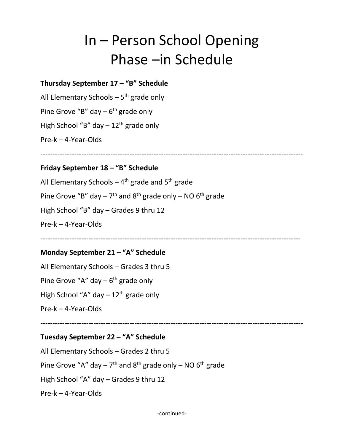# In – Person School Opening Phase –in Schedule

### **Thursday September 17 – "B" Schedule**

All Elementary Schools  $-5$ <sup>th</sup> grade only Pine Grove "B" day  $-6$ <sup>th</sup> grade only High School "B" day  $-12$ <sup>th</sup> grade only Pre-k – 4-Year-Olds

-------------------------------------------------------------------------------------------------------------

### **Friday September 18 – "B" Schedule**

All Elementary Schools  $-4$ <sup>th</sup> grade and  $5$ <sup>th</sup> grade Pine Grove "B" day  $-7$ <sup>th</sup> and 8<sup>th</sup> grade only  $-$  NO 6<sup>th</sup> grade High School "B" day – Grades 9 thru 12 Pre-k – 4-Year-Olds

------------------------------------------------------------------------------------------------------------

#### **Monday September 21 – "A" Schedule**

All Elementary Schools – Grades 3 thru 5 Pine Grove "A" day  $-6$ <sup>th</sup> grade only High School "A" day  $-12$ <sup>th</sup> grade only Pre-k – 4-Year-Olds

-------------------------------------------------------------------------------------------------------------

## **Tuesday September 22 – "A" Schedule**

All Elementary Schools – Grades 2 thru 5

Pine Grove "A" day  $-7$ <sup>th</sup> and  $8$ <sup>th</sup> grade only  $-$  NO  $6$ <sup>th</sup> grade

High School "A" day – Grades 9 thru 12

Pre-k – 4-Year-Olds